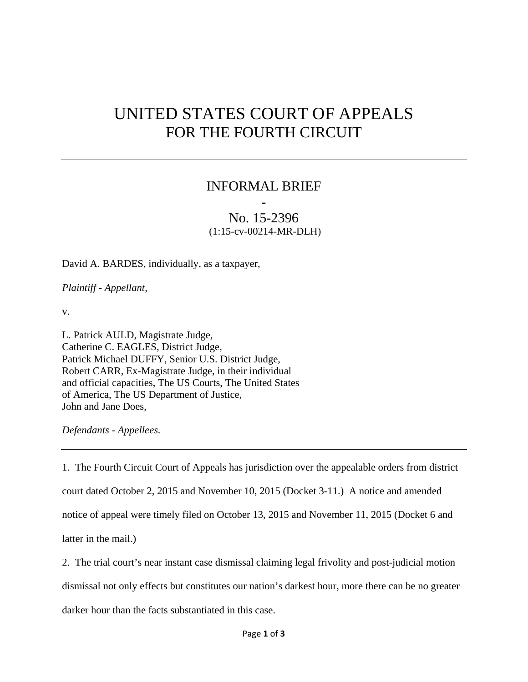## UNITED STATES COURT OF APPEALS FOR THE FOURTH CIRCUIT

## INFORMAL BRIEF

## - No. 15-2396 (1:15-cv-00214-MR-DLH)

David A. BARDES, individually, as a taxpayer,

*Plaintiff - Appellant,* 

v.

L. Patrick AULD, Magistrate Judge, Catherine C. EAGLES, District Judge, Patrick Michael DUFFY, Senior U.S. District Judge, Robert CARR, Ex-Magistrate Judge, in their individual and official capacities, The US Courts, The United States of America, The US Department of Justice, John and Jane Does,

*Defendants - Appellees.* 

1. The Fourth Circuit Court of Appeals has jurisdiction over the appealable orders from district court dated October 2, 2015 and November 10, 2015 (Docket 3-11.) A notice and amended notice of appeal were timely filed on October 13, 2015 and November 11, 2015 (Docket 6 and latter in the mail.)

2. The trial court's near instant case dismissal claiming legal frivolity and post-judicial motion

dismissal not only effects but constitutes our nation's darkest hour, more there can be no greater

darker hour than the facts substantiated in this case.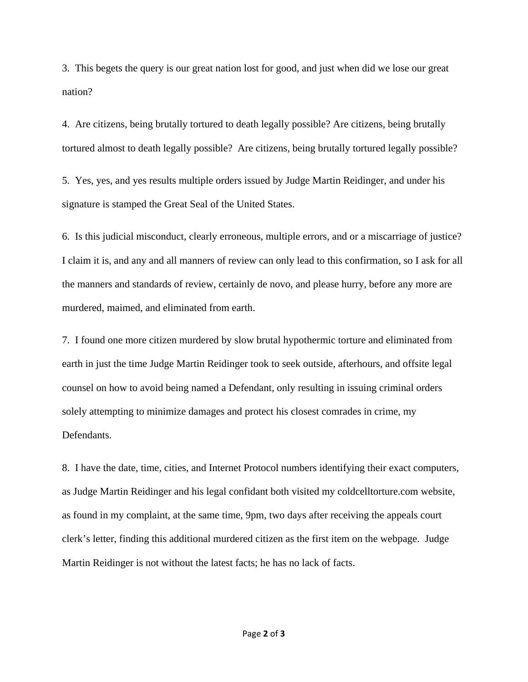3. This begets the query is our great nation lost for good, and just when did we lose our great nation?

4. Are citizens, being brutally tortured to death legally possible? Are citizens, being brutally tortured almost to death legally possible? Are citizens, being brutally tortured legally possible?

5. Yes, yes, and yes results multiple orders issued by Judge Martin Reidinger, and under his signature is stamped the Great Seal of the United States.

6. Is this judicial misconduct, clearly erroneous, multiple errors, and or a miscarriage of justice? I claim it is, and any and all manners of review can only lead to this confirmation, so I ask for all the manners and standards of review, certainly de novo, and please hurry, before any more are murdered, maimed, and eliminated from earth.

7. I found one more citizen murdered by slow brutal hypothermic torture and eliminated from earth in just the time Judge Martin Reidinger took to seek outside, afterhours, and offsite legal counsel on how to avoid being named a Defendant, only resulting in issuing criminal orders solely attempting to minimize damages and protect his closest comrades in crime, my Defendants.

8. I have the date, time, cities, and Internet Protocol numbers identifying their exact computers, as Judge Martin Reidinger and his legal confidant both visited my coldcelltorture.com website, as found in my complaint, at the same time, 9pm, two days after receiving the appeals court clerk's letter, finding this additional murdered citizen as the first item on the webpage. Judge Martin Reidinger is not without the latest facts; he has no lack of facts.